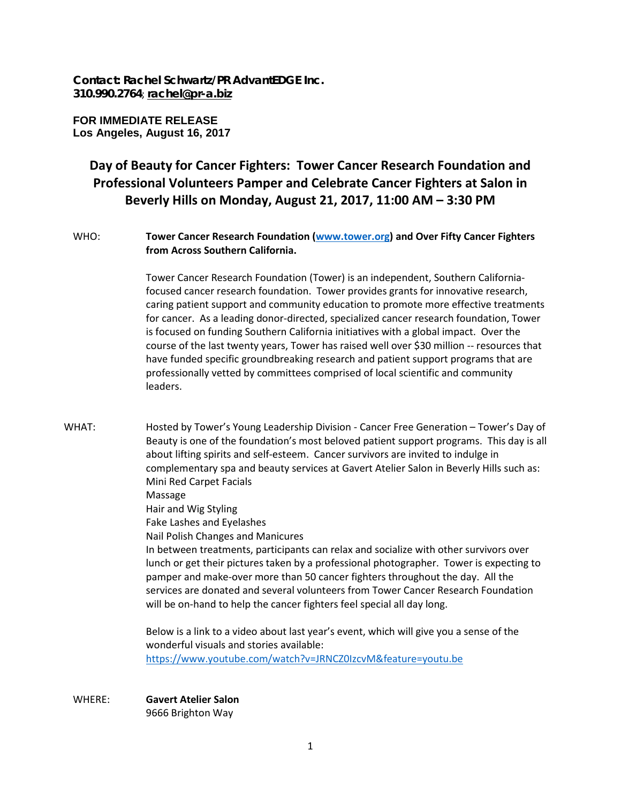**Contact: Rachel Schwartz/PR AdvantEDGE Inc. 310.990.2764**; **[rachel@pr-a.biz](mailto:rachel@pr-a.biz)**

**FOR IMMEDIATE RELEASE Los Angeles, August 16, 2017**

## **Day of Beauty for Cancer Fighters: Tower Cancer Research Foundation and Professional Volunteers Pamper and Celebrate Cancer Fighters at Salon in Beverly Hills on Monday, August 21, 2017, 11:00 AM – 3:30 PM**

## WHO: **Tower Cancer Research Foundation [\(www.tower.org\)](http://www.tower.org/) and Over Fifty Cancer Fighters from Across Southern California.**

Tower Cancer Research Foundation (Tower) is an independent, Southern Californiafocused cancer research foundation. Tower provides grants for innovative research, caring patient support and community education to promote more effective treatments for cancer. As a leading donor-directed, specialized cancer research foundation, Tower is focused on funding Southern California initiatives with a global impact. Over the course of the last twenty years, Tower has raised well over \$30 million -- resources that have funded specific groundbreaking research and patient support programs that are professionally vetted by committees comprised of local scientific and community leaders.

WHAT: Hosted by Tower's Young Leadership Division - Cancer Free Generation – Tower's Day of Beauty is one of the foundation's most beloved patient support programs. This day is all about lifting spirits and self-esteem. Cancer survivors are invited to indulge in complementary spa and beauty services at Gavert Atelier Salon in Beverly Hills such as: Mini Red Carpet Facials

Massage Hair and Wig Styling Fake Lashes and Eyelashes Nail Polish Changes and Manicures In between treatments, participants can relax and socialize with other survivors over lunch or get their pictures taken by a professional photographer. Tower is expecting to pamper and make-over more than 50 cancer fighters throughout the day. All the services are donated and several volunteers from Tower Cancer Research Foundation will be on-hand to help the cancer fighters feel special all day long.

Below is a link to a video about last year's event, which will give you a sense of the wonderful visuals and stories available: <https://www.youtube.com/watch?v=JRNCZ0IzcvM&feature=youtu.be>

WHERE: **Gavert Atelier Salon** 9666 Brighton Way